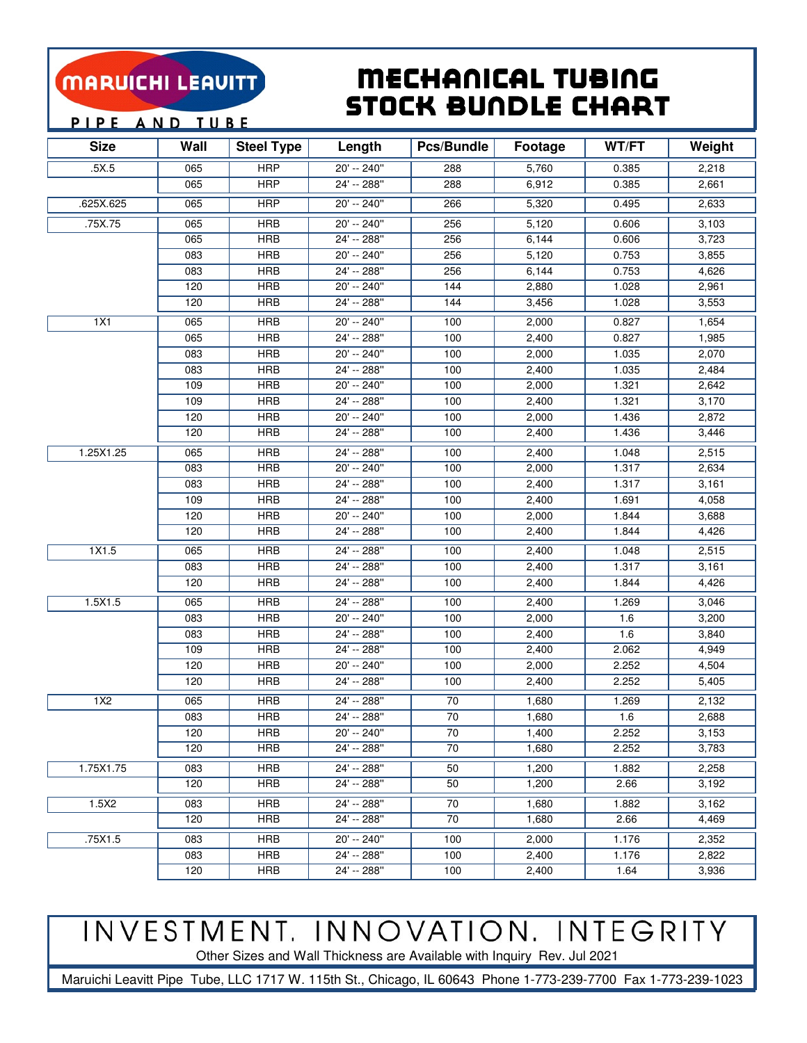### MARUICHI LEAVITT

### Mechanical Tubing Stock BunDle Chart

PIPE AND TUBE

| <b>Size</b> | Wall | <b>Steel Type</b> | Length        | Pcs/Bundle | Footage | WT/FT | Weight |
|-------------|------|-------------------|---------------|------------|---------|-------|--------|
| .5X.5       | 065  | <b>HRP</b>        | 20' -- 240"   | 288        | 5,760   | 0.385 | 2,218  |
|             | 065  | <b>HRP</b>        | 24' -- 288"   | 288        | 6,912   | 0.385 | 2,661  |
| .625X.625   | 065  | <b>HRP</b>        | $20' - 240''$ | 266        | 5,320   | 0.495 | 2,633  |
| .75X.75     | 065  | <b>HRB</b>        | 20' -- 240"   | 256        | 5,120   | 0.606 | 3,103  |
|             | 065  | <b>HRB</b>        | 24' -- 288"   | 256        | 6,144   | 0.606 | 3,723  |
|             | 083  | <b>HRB</b>        | 20' -- 240"   | 256        | 5,120   | 0.753 | 3,855  |
|             | 083  | <b>HRB</b>        | 24' -- 288"   | 256        | 6,144   | 0.753 | 4,626  |
|             | 120  | <b>HRB</b>        | 20' -- 240"   | 144        | 2,880   | 1.028 | 2,961  |
|             | 120  | <b>HRB</b>        | $24' - 288''$ | 144        | 3,456   | 1.028 | 3,553  |
| 1X1         | 065  | <b>HRB</b>        | $20' - 240''$ | 100        | 2,000   | 0.827 | 1,654  |
|             | 065  | <b>HRB</b>        | 24' -- 288"   | 100        | 2,400   | 0.827 | 1,985  |
|             | 083  | <b>HRB</b>        | 20' -- 240"   | 100        | 2,000   | 1.035 | 2,070  |
|             | 083  | <b>HRB</b>        | 24' -- 288"   | 100        | 2,400   | 1.035 | 2,484  |
|             | 109  | <b>HRB</b>        | 20' -- 240"   | 100        | 2,000   | 1.321 | 2,642  |
|             | 109  | <b>HRB</b>        | 24' -- 288"   | 100        | 2,400   | 1.321 | 3,170  |
|             | 120  | <b>HRB</b>        | 20' -- 240"   | 100        | 2,000   | 1.436 | 2,872  |
|             | 120  | <b>HRB</b>        | 24' -- 288"   | 100        | 2,400   | 1.436 | 3,446  |
| 1.25X1.25   | 065  | <b>HRB</b>        | 24' -- 288"   | 100        | 2,400   | 1.048 | 2,515  |
|             | 083  | <b>HRB</b>        | 20' -- 240"   | 100        | 2,000   | 1.317 | 2,634  |
|             | 083  | <b>HRB</b>        | 24' -- 288"   | 100        | 2,400   | 1.317 | 3,161  |
|             | 109  | <b>HRB</b>        | 24' -- 288"   | 100        | 2,400   | 1.691 | 4,058  |
|             | 120  | <b>HRB</b>        | $20' - 240''$ | 100        | 2,000   | 1.844 | 3,688  |
|             | 120  | <b>HRB</b>        | 24' -- 288"   | 100        | 2,400   | 1.844 | 4,426  |
| 1X1.5       | 065  | <b>HRB</b>        | 24' -- 288"   | 100        | 2,400   | 1.048 | 2,515  |
|             | 083  | <b>HRB</b>        | 24' -- 288"   | 100        | 2,400   | 1.317 | 3,161  |
|             | 120  | <b>HRB</b>        | 24' -- 288"   | 100        | 2,400   | 1.844 | 4,426  |
| 1.5X1.5     | 065  | <b>HRB</b>        | 24' -- 288"   | 100        | 2,400   | 1.269 | 3,046  |
|             | 083  | <b>HRB</b>        | 20' -- 240"   | 100        | 2,000   | 1.6   | 3,200  |
|             | 083  | <b>HRB</b>        | 24' -- 288"   | 100        | 2,400   | 1.6   | 3,840  |
|             | 109  | <b>HRB</b>        | 24' -- 288"   | 100        | 2,400   | 2.062 | 4,949  |
|             | 120  | <b>HRB</b>        | 20' -- 240"   | 100        | 2,000   | 2.252 | 4,504  |
|             | 120  | <b>HRB</b>        | 24' -- 288"   | 100        | 2,400   | 2.252 | 5,405  |
| 1X2         | 065  | <b>HRB</b>        | 24' -- 288"   | 70         | 1,680   | 1.269 | 2,132  |
|             | 083  | <b>HRB</b>        | 24' -- 288"   | 70         | 1,680   | 1.6   | 2,688  |
|             | 120  | <b>HRB</b>        | 20' -- 240"   | 70         | 1,400   | 2.252 | 3,153  |
|             | 120  | <b>HRB</b>        | 24' -- 288"   | 70         | 1,680   | 2.252 | 3,783  |
| 1.75X1.75   | 083  | <b>HRB</b>        | 24' -- 288"   | 50         | 1,200   | 1.882 | 2,258  |
|             | 120  | <b>HRB</b>        | 24' -- 288"   | 50         | 1,200   | 2.66  | 3,192  |
| 1.5X2       | 083  | <b>HRB</b>        | 24' -- 288"   | 70         | 1,680   | 1.882 | 3,162  |
|             | 120  | <b>HRB</b>        | 24' -- 288"   | 70         | 1,680   | 2.66  | 4,469  |
| .75X1.5     | 083  | <b>HRB</b>        | 20' -- 240"   | 100        | 2,000   | 1.176 | 2,352  |
|             | 083  | <b>HRB</b>        | 24' -- 288"   | 100        | 2,400   | 1.176 | 2,822  |
|             | 120  | <b>HRB</b>        | 24' -- 288"   | 100        | 2,400   | 1.64  | 3,936  |

# INVESTMENT. INNOVATION. INTEGRITY

Other Sizes and Wall Thickness are Available with Inquiry Rev. Jul 2021

Maruichi Leavitt Pipe Tube, LLC 1717 W. 115th St., Chicago, IL 60643 Phone 1-773-239-7700 Fax 1-773-239-1023